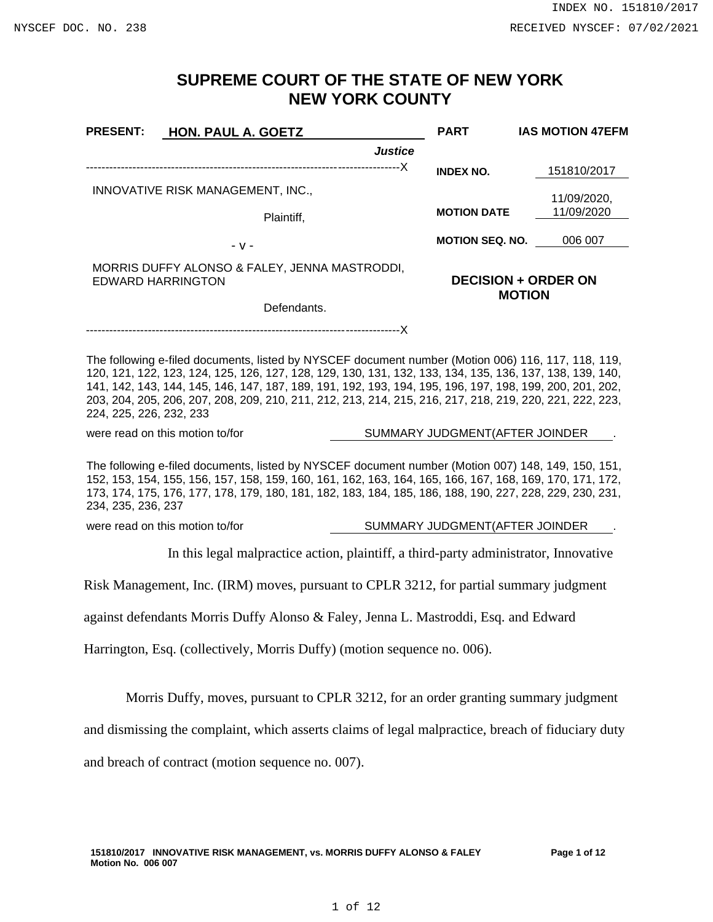# **SUPREME COURT OF THE STATE OF NEW YORK NEW YORK COUNTY**

| <b>PRESENT:</b>                                                                                                                                                                                                                                                                                                                                                                                                                                                   | <b>HON. PAUL A. GOETZ</b>       |                                             | <b>PART</b>                    | <b>IAS MOTION 47EFM</b>   |
|-------------------------------------------------------------------------------------------------------------------------------------------------------------------------------------------------------------------------------------------------------------------------------------------------------------------------------------------------------------------------------------------------------------------------------------------------------------------|---------------------------------|---------------------------------------------|--------------------------------|---------------------------|
|                                                                                                                                                                                                                                                                                                                                                                                                                                                                   |                                 | <b>Justice</b>                              |                                |                           |
|                                                                                                                                                                                                                                                                                                                                                                                                                                                                   |                                 |                                             | <b>INDEX NO.</b>               | 151810/2017               |
| INNOVATIVE RISK MANAGEMENT, INC.,<br>Plaintiff,                                                                                                                                                                                                                                                                                                                                                                                                                   |                                 |                                             | <b>MOTION DATE</b>             | 11/09/2020,<br>11/09/2020 |
|                                                                                                                                                                                                                                                                                                                                                                                                                                                                   |                                 |                                             | <b>MOTION SEQ. NO.</b>         | 006 007                   |
|                                                                                                                                                                                                                                                                                                                                                                                                                                                                   | $-V -$                          |                                             |                                |                           |
| MORRIS DUFFY ALONSO & FALEY, JENNA MASTRODDI,<br><b>EDWARD HARRINGTON</b>                                                                                                                                                                                                                                                                                                                                                                                         |                                 | <b>DECISION + ORDER ON</b><br><b>MOTION</b> |                                |                           |
| Defendants.                                                                                                                                                                                                                                                                                                                                                                                                                                                       |                                 |                                             |                                |                           |
|                                                                                                                                                                                                                                                                                                                                                                                                                                                                   |                                 |                                             |                                |                           |
| The following e-filed documents, listed by NYSCEF document number (Motion 006) 116, 117, 118, 119,<br>120, 121, 122, 123, 124, 125, 126, 127, 128, 129, 130, 131, 132, 133, 134, 135, 136, 137, 138, 139, 140,<br>141, 142, 143, 144, 145, 146, 147, 187, 189, 191, 192, 193, 194, 195, 196, 197, 198, 199, 200, 201, 202,<br>203, 204, 205, 206, 207, 208, 209, 210, 211, 212, 213, 214, 215, 216, 217, 218, 219, 220, 221, 222, 223,<br>224, 225, 226, 232, 233 |                                 |                                             |                                |                           |
| were read on this motion to/for<br>SUMMARY JUDGMENT(AFTER JOINDER                                                                                                                                                                                                                                                                                                                                                                                                 |                                 |                                             |                                |                           |
| The following e-filed documents, listed by NYSCEF document number (Motion 007) 148, 149, 150, 151,<br>152, 153, 154, 155, 156, 157, 158, 159, 160, 161, 162, 163, 164, 165, 166, 167, 168, 169, 170, 171, 172,<br>173, 174, 175, 176, 177, 178, 179, 180, 181, 182, 183, 184, 185, 186, 188, 190, 227, 228, 229, 230, 231,<br>234, 235, 236, 237                                                                                                                  |                                 |                                             |                                |                           |
|                                                                                                                                                                                                                                                                                                                                                                                                                                                                   | were read on this motion to/for |                                             | SUMMARY JUDGMENT(AFTER JOINDER |                           |
| In this legal malpractice action, plaintiff, a third-party administrator, Innovative                                                                                                                                                                                                                                                                                                                                                                              |                                 |                                             |                                |                           |
| Risk Management, Inc. (IRM) moves, pursuant to CPLR 3212, for partial summary judgment                                                                                                                                                                                                                                                                                                                                                                            |                                 |                                             |                                |                           |
| against defendants Morris Duffy Alonso & Faley, Jenna L. Mastroddi, Esq. and Edward                                                                                                                                                                                                                                                                                                                                                                               |                                 |                                             |                                |                           |
| Harrington, Esq. (collectively, Morris Duffy) (motion sequence no. 006).                                                                                                                                                                                                                                                                                                                                                                                          |                                 |                                             |                                |                           |
| Morris Duffy, moves, pursuant to CPLR 3212, for an order granting summary judgment                                                                                                                                                                                                                                                                                                                                                                                |                                 |                                             |                                |                           |
| and dismissing the complaint, which asserts claims of legal malpractice, breach of fiduciary duty                                                                                                                                                                                                                                                                                                                                                                 |                                 |                                             |                                |                           |

and breach of contract (motion sequence no. 007).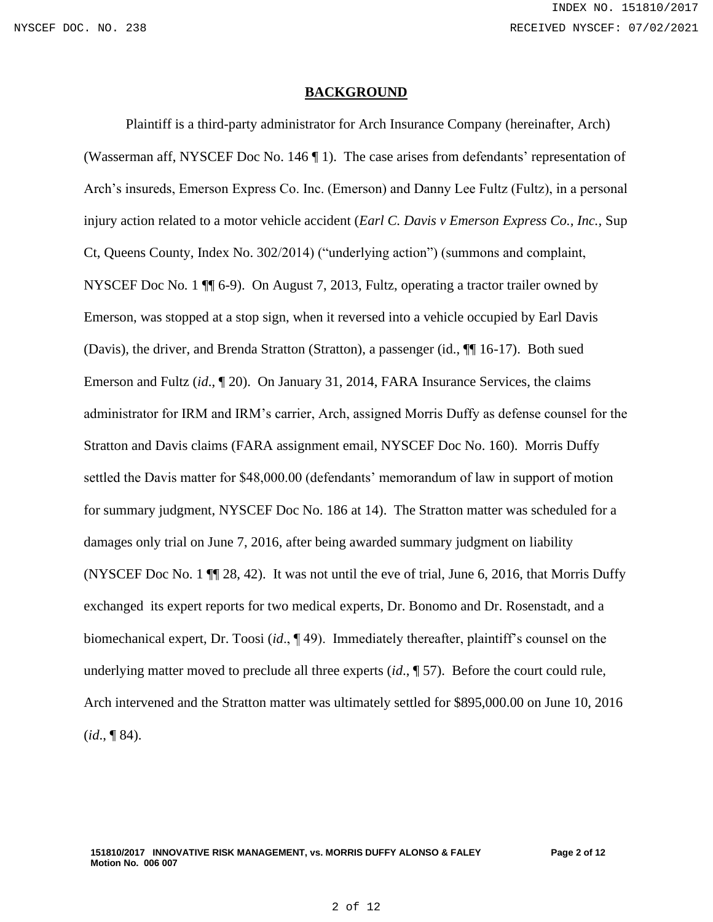#### **BACKGROUND**

Plaintiff is a third-party administrator for Arch Insurance Company (hereinafter, Arch) (Wasserman aff, NYSCEF Doc No. 146 ¶ 1). The case arises from defendants' representation of Arch's insureds, Emerson Express Co. Inc. (Emerson) and Danny Lee Fultz (Fultz), in a personal injury action related to a motor vehicle accident (*Earl C. Davis v Emerson Express Co., Inc.,* Sup Ct, Queens County, Index No. 302/2014) ("underlying action") (summons and complaint, NYSCEF Doc No*.* 1 ¶¶ 6-9). On August 7, 2013, Fultz, operating a tractor trailer owned by Emerson, was stopped at a stop sign, when it reversed into a vehicle occupied by Earl Davis (Davis), the driver, and Brenda Stratton (Stratton), a passenger (id., ¶¶ 16-17). Both sued Emerson and Fultz (*id*., ¶ 20). On January 31, 2014, FARA Insurance Services, the claims administrator for IRM and IRM's carrier, Arch, assigned Morris Duffy as defense counsel for the Stratton and Davis claims (FARA assignment email, NYSCEF Doc No. 160). Morris Duffy settled the Davis matter for \$48,000.00 (defendants' memorandum of law in support of motion for summary judgment, NYSCEF Doc No. 186 at 14). The Stratton matter was scheduled for a damages only trial on June 7, 2016, after being awarded summary judgment on liability (NYSCEF Doc No. 1  $\P$  28, 42). It was not until the eve of trial, June 6, 2016, that Morris Duffy exchanged its expert reports for two medical experts, Dr. Bonomo and Dr. Rosenstadt, and a biomechanical expert, Dr. Toosi (*id*., ¶ 49). Immediately thereafter, plaintiff's counsel on the underlying matter moved to preclude all three experts (*id*., ¶ 57). Before the court could rule, Arch intervened and the Stratton matter was ultimately settled for \$895,000.00 on June 10, 2016 (*id*., ¶ 84).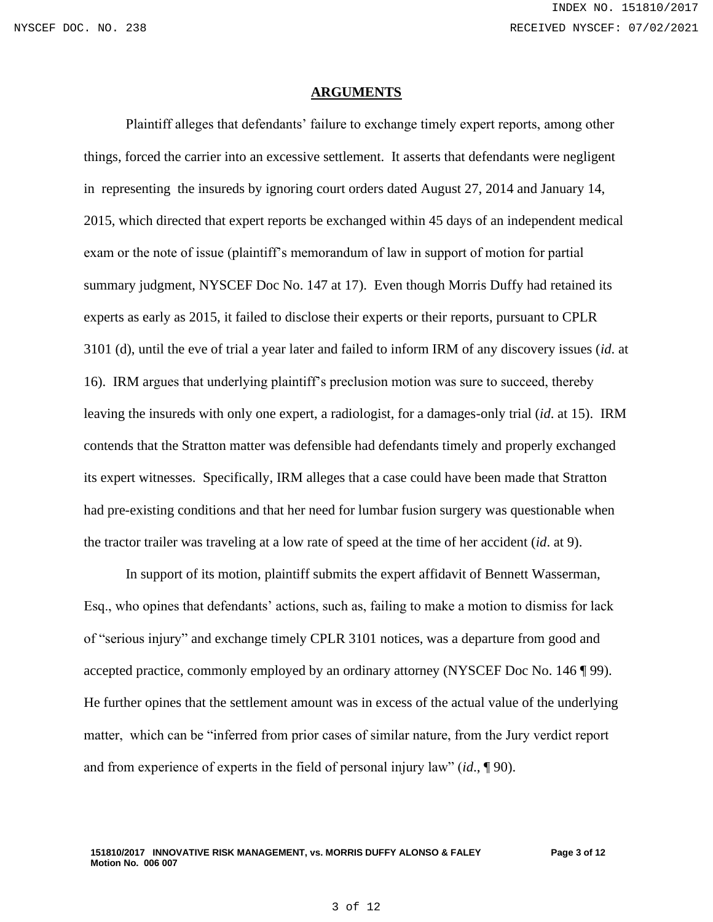#### **ARGUMENTS**

Plaintiff alleges that defendants' failure to exchange timely expert reports, among other things, forced the carrier into an excessive settlement. It asserts that defendants were negligent in representing the insureds by ignoring court orders dated August 27, 2014 and January 14, 2015, which directed that expert reports be exchanged within 45 days of an independent medical exam or the note of issue (plaintiff's memorandum of law in support of motion for partial summary judgment, NYSCEF Doc No. 147 at 17). Even though Morris Duffy had retained its experts as early as 2015, it failed to disclose their experts or their reports, pursuant to CPLR 3101 (d), until the eve of trial a year later and failed to inform IRM of any discovery issues (*id*. at 16). IRM argues that underlying plaintiff's preclusion motion was sure to succeed, thereby leaving the insureds with only one expert, a radiologist, for a damages-only trial (*id*. at 15). IRM contends that the Stratton matter was defensible had defendants timely and properly exchanged its expert witnesses. Specifically, IRM alleges that a case could have been made that Stratton had pre-existing conditions and that her need for lumbar fusion surgery was questionable when the tractor trailer was traveling at a low rate of speed at the time of her accident (*id*. at 9).

In support of its motion, plaintiff submits the expert affidavit of Bennett Wasserman, Esq., who opines that defendants' actions, such as, failing to make a motion to dismiss for lack of "serious injury" and exchange timely CPLR 3101 notices, was a departure from good and accepted practice, commonly employed by an ordinary attorney (NYSCEF Doc No. 146 ¶ 99). He further opines that the settlement amount was in excess of the actual value of the underlying matter, which can be "inferred from prior cases of similar nature, from the Jury verdict report and from experience of experts in the field of personal injury law" (*id*., ¶ 90).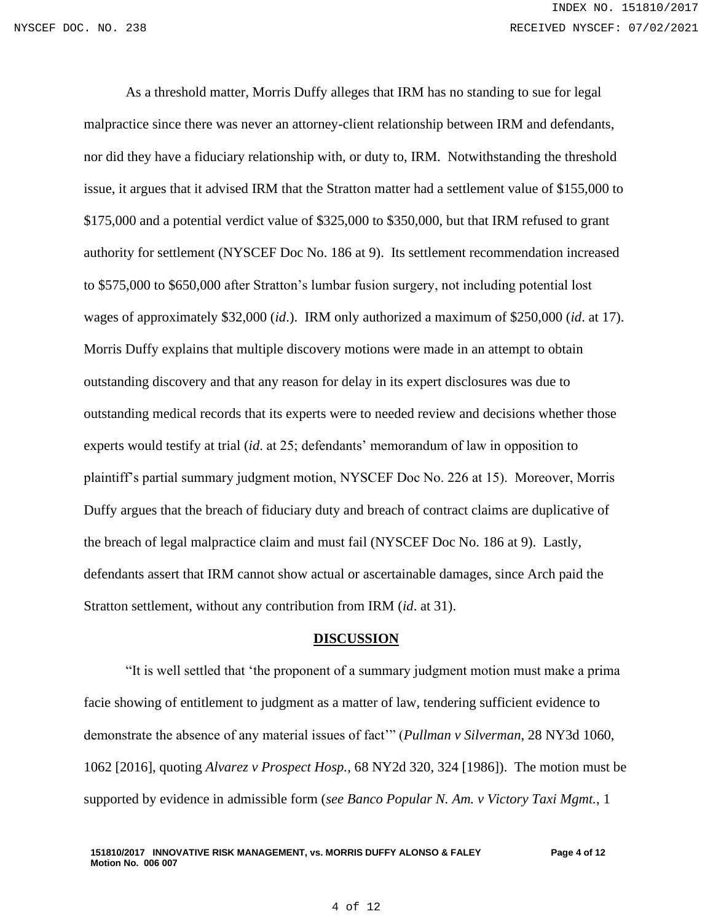As a threshold matter, Morris Duffy alleges that IRM has no standing to sue for legal malpractice since there was never an attorney-client relationship between IRM and defendants, nor did they have a fiduciary relationship with, or duty to, IRM. Notwithstanding the threshold issue, it argues that it advised IRM that the Stratton matter had a settlement value of \$155,000 to \$175,000 and a potential verdict value of \$325,000 to \$350,000, but that IRM refused to grant authority for settlement (NYSCEF Doc No. 186 at 9). Its settlement recommendation increased to \$575,000 to \$650,000 after Stratton's lumbar fusion surgery, not including potential lost wages of approximately \$32,000 (*id*.). IRM only authorized a maximum of \$250,000 (*id*. at 17). Morris Duffy explains that multiple discovery motions were made in an attempt to obtain outstanding discovery and that any reason for delay in its expert disclosures was due to outstanding medical records that its experts were to needed review and decisions whether those experts would testify at trial (*id*. at 25; defendants' memorandum of law in opposition to plaintiff's partial summary judgment motion, NYSCEF Doc No. 226 at 15). Moreover, Morris Duffy argues that the breach of fiduciary duty and breach of contract claims are duplicative of the breach of legal malpractice claim and must fail (NYSCEF Doc No. 186 at 9). Lastly, defendants assert that IRM cannot show actual or ascertainable damages, since Arch paid the Stratton settlement, without any contribution from IRM (*id*. at 31).

### **DISCUSSION**

"It is well settled that 'the proponent of a summary judgment motion must make a prima facie showing of entitlement to judgment as a matter of law, tendering sufficient evidence to demonstrate the absence of any material issues of fact'" (*Pullman v Silverman*, 28 NY3d 1060, 1062 [2016], quoting *Alvarez v Prospect Hosp.*, 68 NY2d 320, 324 [1986]). The motion must be supported by evidence in admissible form (*see Banco Popular N. Am. v Victory Taxi Mgmt.*, 1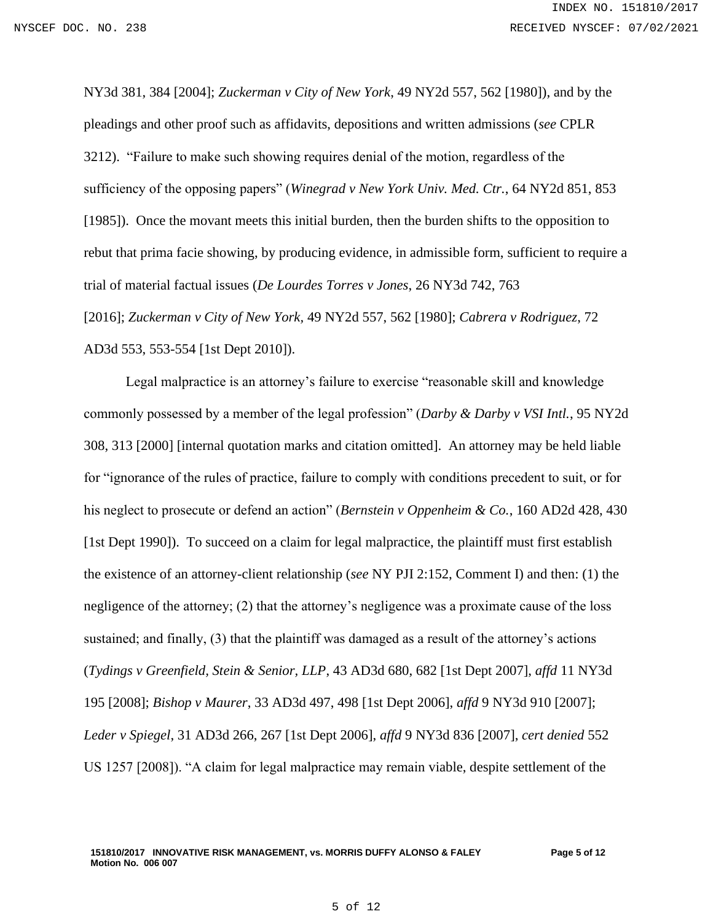NY3d 381, 384 [2004]; *Zuckerman v City of New York*, 49 NY2d 557, 562 [1980]), and by the pleadings and other proof such as affidavits, depositions and written admissions (*see* CPLR 3212). "Failure to make such showing requires denial of the motion, regardless of the sufficiency of the opposing papers" (*Winegrad v New York Univ. Med. Ctr.*, 64 NY2d 851, 853 [1985]). Once the movant meets this initial burden, then the burden shifts to the opposition to rebut that prima facie showing, by producing evidence, in admissible form, sufficient to require a trial of material factual issues (*De Lourdes Torres v Jones*, 26 NY3d 742, 763 [2016]; *Zuckerman v City of New York,* 49 NY2d 557, 562 [1980]; *Cabrera v Rodriguez*, 72 AD3d 553, 553-554 [1st Dept 2010]).

Legal malpractice is an attorney's failure to exercise "reasonable skill and knowledge commonly possessed by a member of the legal profession" (*Darby & Darby v VSI Intl.*, 95 NY2d 308, 313 [2000] [internal quotation marks and citation omitted]. An attorney may be held liable for "ignorance of the rules of practice, failure to comply with conditions precedent to suit, or for his neglect to prosecute or defend an action" (*Bernstein v Oppenheim & Co.*, 160 AD2d 428, 430 [1st Dept 1990]). To succeed on a claim for legal malpractice, the plaintiff must first establish the existence of an attorney-client relationship (*see* NY PJI 2:152, Comment I) and then: (1) the negligence of the attorney; (2) that the attorney's negligence was a proximate cause of the loss sustained; and finally, (3) that the plaintiff was damaged as a result of the attorney's actions (*Tydings v Greenfield, Stein & Senior, LLP*, 43 AD3d 680, 682 [1st Dept 2007], *affd* 11 NY3d 195 [2008]; *Bishop v Maurer*, 33 AD3d 497, 498 [1st Dept 2006], *affd* 9 NY3d 910 [2007]; *Leder v Spiegel*, 31 AD3d 266, 267 [1st Dept 2006], *affd* 9 NY3d 836 [2007], *cert denied* 552 US 1257 [2008]). "A claim for legal malpractice may remain viable, despite settlement of the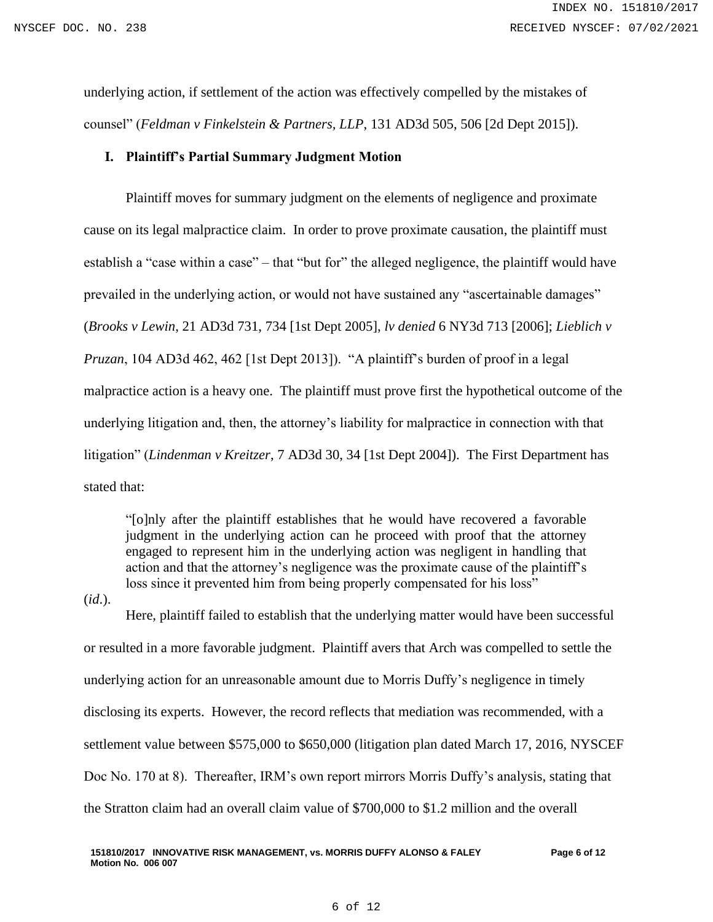underlying action, if settlement of the action was effectively compelled by the mistakes of counsel" (*Feldman v Finkelstein & Partners, LLP*, 131 AD3d 505, 506 [2d Dept 2015]).

### **I. Plaintiff's Partial Summary Judgment Motion**

Plaintiff moves for summary judgment on the elements of negligence and proximate cause on its legal malpractice claim. In order to prove proximate causation, the plaintiff must establish a "case within a case" – that "but for" the alleged negligence, the plaintiff would have prevailed in the underlying action, or would not have sustained any "ascertainable damages" (*Brooks v Lewin*, 21 AD3d 731, 734 [1st Dept 2005], *lv denied* 6 NY3d 713 [2006]; *Lieblich v Pruzan*, 104 AD3d 462, 462 [1st Dept 2013]). "A plaintiff's burden of proof in a legal malpractice action is a heavy one. The plaintiff must prove first the hypothetical outcome of the underlying litigation and, then, the attorney's liability for malpractice in connection with that litigation" (*Lindenman v Kreitzer*, 7 AD3d 30, 34 [1st Dept 2004]). The First Department has stated that:

"[o]nly after the plaintiff establishes that he would have recovered a favorable judgment in the underlying action can he proceed with proof that the attorney engaged to represent him in the underlying action was negligent in handling that action and that the attorney's negligence was the proximate cause of the plaintiff's loss since it prevented him from being properly compensated for his loss"

(*id*.).

Here, plaintiff failed to establish that the underlying matter would have been successful or resulted in a more favorable judgment. Plaintiff avers that Arch was compelled to settle the underlying action for an unreasonable amount due to Morris Duffy's negligence in timely disclosing its experts. However, the record reflects that mediation was recommended, with a settlement value between \$575,000 to \$650,000 (litigation plan dated March 17, 2016, NYSCEF Doc No. 170 at 8). Thereafter, IRM's own report mirrors Morris Duffy's analysis, stating that the Stratton claim had an overall claim value of \$700,000 to \$1.2 million and the overall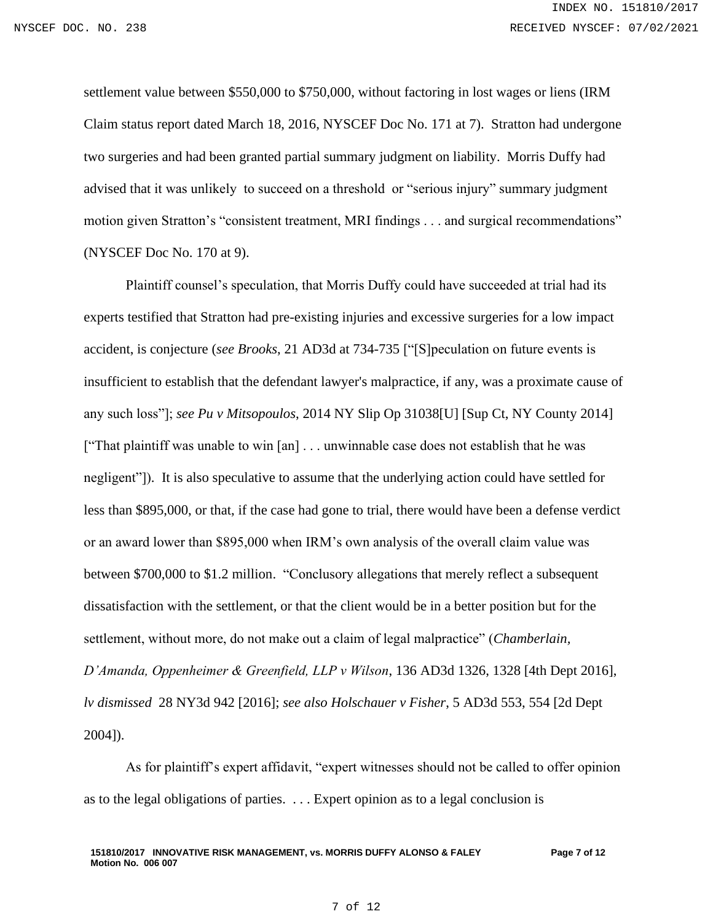settlement value between \$550,000 to \$750,000, without factoring in lost wages or liens (IRM Claim status report dated March 18, 2016, NYSCEF Doc No. 171 at 7). Stratton had undergone two surgeries and had been granted partial summary judgment on liability. Morris Duffy had advised that it was unlikely to succeed on a threshold or "serious injury" summary judgment motion given Stratton's "consistent treatment, MRI findings . . . and surgical recommendations" (NYSCEF Doc No. 170 at 9).

Plaintiff counsel's speculation, that Morris Duffy could have succeeded at trial had its experts testified that Stratton had pre-existing injuries and excessive surgeries for a low impact accident, is conjecture (*see Brooks*, 21 AD3d at 734-735 ["[S]peculation on future events is insufficient to establish that the defendant lawyer's malpractice, if any, was a proximate cause of any such loss"]; *see Pu v Mitsopoulos*, 2014 NY Slip Op 31038[U] [Sup Ct, NY County 2014] ["That plaintiff was unable to win [an] . . . unwinnable case does not establish that he was negligent"]). It is also speculative to assume that the underlying action could have settled for less than \$895,000, or that, if the case had gone to trial, there would have been a defense verdict or an award lower than \$895,000 when IRM's own analysis of the overall claim value was between \$700,000 to \$1.2 million. "Conclusory allegations that merely reflect a subsequent dissatisfaction with the settlement, or that the client would be in a better position but for the settlement, without more, do not make out a claim of legal malpractice" (*Chamberlain, D'Amanda, Oppenheimer & Greenfield, LLP v Wilson*, 136 AD3d 1326, 1328 [4th Dept 2016], *lv dismissed* 28 NY3d 942 [2016]; *see also Holschauer v Fisher*, 5 AD3d 553, 554 [2d Dept 2004]).

As for plaintiff's expert affidavit, "expert witnesses should not be called to offer opinion as to the legal obligations of parties. . . . Expert opinion as to a legal conclusion is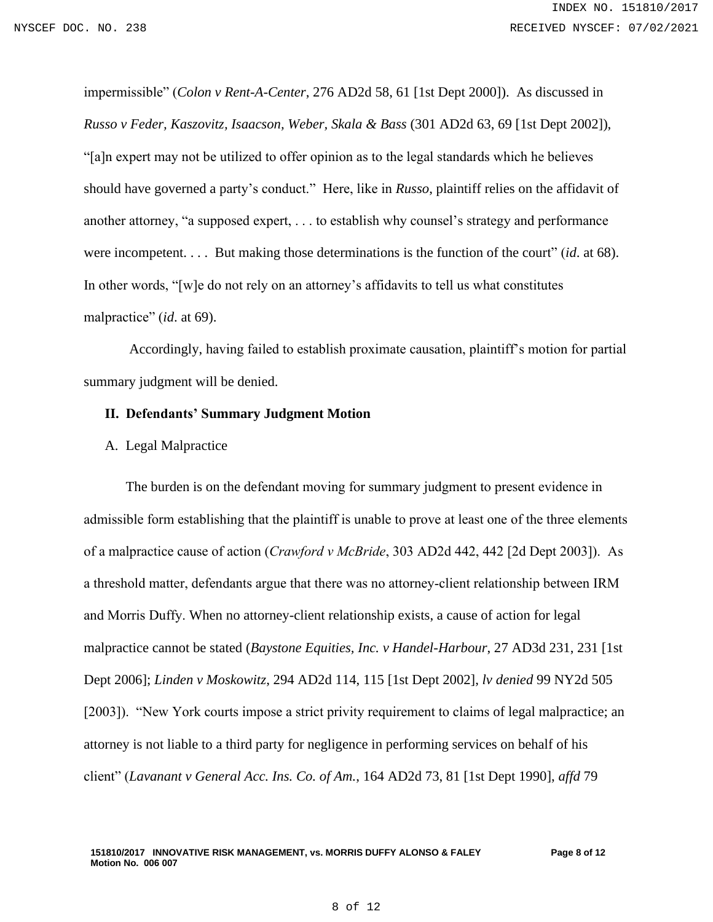impermissible" (*Colon v Rent-A-Center*, 276 AD2d 58, 61 [1st Dept 2000]). As discussed in *Russo v Feder, Kaszovitz, Isaacson, Weber, Skala & Bass* (301 AD2d 63, 69 [1st Dept 2002]), "[a]n expert may not be utilized to offer opinion as to the legal standards which he believes should have governed a party's conduct." Here, like in *Russo*, plaintiff relies on the affidavit of another attorney, "a supposed expert, . . . to establish why counsel's strategy and performance were incompetent. . . . But making those determinations is the function of the court" (*id*. at 68). In other words, "[w]e do not rely on an attorney's affidavits to tell us what constitutes malpractice" (*id*. at 69).

Accordingly, having failed to establish proximate causation, plaintiff's motion for partial summary judgment will be denied.

## **II. Defendants' Summary Judgment Motion**

A. Legal Malpractice

The burden is on the defendant moving for summary judgment to present evidence in admissible form establishing that the plaintiff is unable to prove at least one of the three elements of a malpractice cause of action (*Crawford v McBride*, 303 AD2d 442, 442 [2d Dept 2003]). As a threshold matter, defendants argue that there was no attorney-client relationship between IRM and Morris Duffy. When no attorney-client relationship exists, a cause of action for legal malpractice cannot be stated (*Baystone Equities, Inc. v Handel-Harbour*, 27 AD3d 231, 231 [1st Dept 2006]; *Linden v Moskowitz*, 294 AD2d 114, 115 [1st Dept 2002], *lv denied* 99 NY2d 505 [2003]). "New York courts impose a strict privity requirement to claims of legal malpractice; an attorney is not liable to a third party for negligence in performing services on behalf of his client" (*Lavanant v General Acc. Ins. Co. of Am.*, 164 AD2d 73, 81 [1st Dept 1990], *affd* 79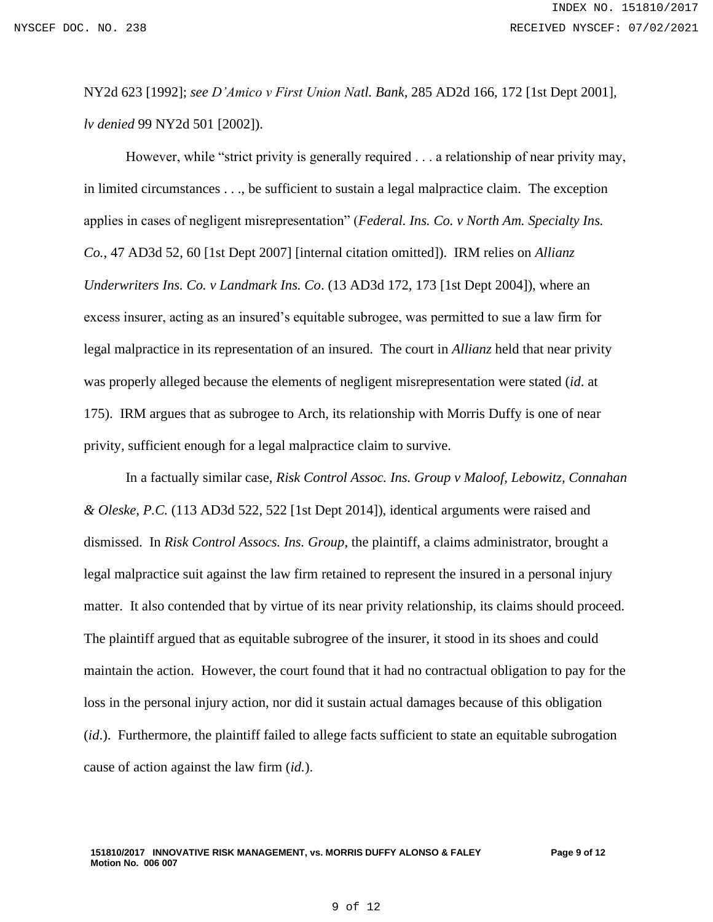NY2d 623 [1992]; *see D'Amico v First Union Natl. Bank*, 285 AD2d 166, 172 [1st Dept 2001], *lv denied* 99 NY2d 501 [2002]).

However, while "strict privity is generally required . . . a relationship of near privity may, in limited circumstances . . ., be sufficient to sustain a legal malpractice claim. The exception applies in cases of negligent misrepresentation" (*Federal. Ins. Co. v North Am. Specialty Ins. Co.*, 47 AD3d 52, 60 [1st Dept 2007] [internal citation omitted]). IRM relies on *Allianz Underwriters Ins. Co. v Landmark Ins. Co*. (13 AD3d 172, 173 [1st Dept 2004]), where an excess insurer, acting as an insured's equitable subrogee, was permitted to sue a law firm for legal malpractice in its representation of an insured. The court in *Allianz* held that near privity was properly alleged because the elements of negligent misrepresentation were stated (*id*. at 175). IRM argues that as subrogee to Arch, its relationship with Morris Duffy is one of near privity, sufficient enough for a legal malpractice claim to survive.

In a factually similar case, *Risk Control Assoc. Ins. Group v Maloof, Lebowitz, Connahan & Oleske, P.C.* (113 AD3d 522, 522 [1st Dept 2014]), identical arguments were raised and dismissed. In *Risk Control Assocs. Ins. Group*, the plaintiff, a claims administrator, brought a legal malpractice suit against the law firm retained to represent the insured in a personal injury matter. It also contended that by virtue of its near privity relationship, its claims should proceed. The plaintiff argued that as equitable subrogree of the insurer, it stood in its shoes and could maintain the action. However, the court found that it had no contractual obligation to pay for the loss in the personal injury action, nor did it sustain actual damages because of this obligation (*id*.). Furthermore, the plaintiff failed to allege facts sufficient to state an equitable subrogation cause of action against the law firm (*id.*).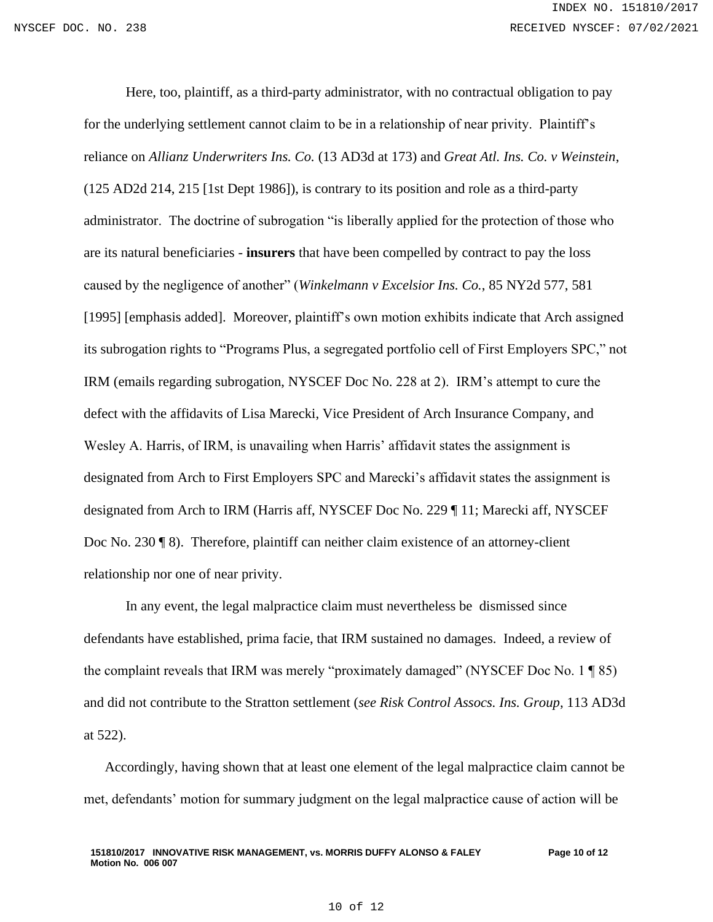Here, too, plaintiff, as a third-party administrator, with no contractual obligation to pay for the underlying settlement cannot claim to be in a relationship of near privity. Plaintiff's reliance on *Allianz Underwriters Ins. Co.* (13 AD3d at 173) and *Great Atl. Ins. Co. v Weinstein*, (125 AD2d 214, 215 [1st Dept 1986]), is contrary to its position and role as a third-party administrator. The doctrine of subrogation "is liberally applied for the protection of those who are its natural beneficiaries - **insurers** that have been compelled by contract to pay the loss caused by the negligence of another" (*Winkelmann v Excelsior Ins. Co.*, 85 NY2d 577, 581 [1995] [emphasis added]. Moreover, plaintiff's own motion exhibits indicate that Arch assigned its subrogation rights to "Programs Plus, a segregated portfolio cell of First Employers SPC," not IRM (emails regarding subrogation, NYSCEF Doc No. 228 at 2). IRM's attempt to cure the defect with the affidavits of Lisa Marecki, Vice President of Arch Insurance Company, and Wesley A. Harris, of IRM, is unavailing when Harris' affidavit states the assignment is designated from Arch to First Employers SPC and Marecki's affidavit states the assignment is designated from Arch to IRM (Harris aff, NYSCEF Doc No. 229 ¶ 11; Marecki aff, NYSCEF Doc No. 230 ¶ 8). Therefore, plaintiff can neither claim existence of an attorney-client relationship nor one of near privity.

In any event, the legal malpractice claim must nevertheless be dismissed since defendants have established, prima facie, that IRM sustained no damages. Indeed, a review of the complaint reveals that IRM was merely "proximately damaged" (NYSCEF Doc No. 1 ¶ 85) and did not contribute to the Stratton settlement (*see Risk Control Assocs. Ins. Group*, 113 AD3d at 522).

Accordingly, having shown that at least one element of the legal malpractice claim cannot be met, defendants' motion for summary judgment on the legal malpractice cause of action will be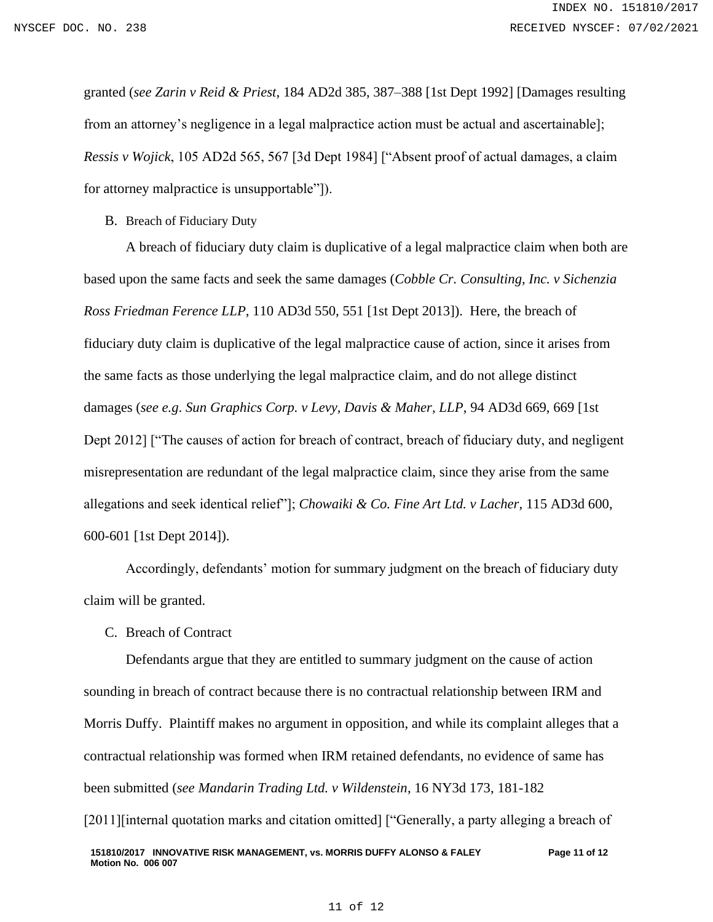granted (*see Zarin v Reid & Priest*, 184 AD2d 385, 387–388 [1st Dept 1992] [Damages resulting from an attorney's negligence in a legal malpractice action must be actual and ascertainable]; *Ressis v Wojick*, 105 AD2d 565, 567 [3d Dept 1984] ["Absent proof of actual damages, a claim for attorney malpractice is unsupportable"]).

B. Breach of Fiduciary Duty

A breach of fiduciary duty claim is duplicative of a legal malpractice claim when both are based upon the same facts and seek the same damages (*Cobble Cr. Consulting, Inc. v Sichenzia Ross Friedman Ference LLP*, 110 AD3d 550, 551 [1st Dept 2013]). Here, the breach of fiduciary duty claim is duplicative of the legal malpractice cause of action, since it arises from the same facts as those underlying the legal malpractice claim, and do not allege distinct damages (*see e.g*. *Sun Graphics Corp. v Levy, Davis & Maher, LLP*, 94 AD3d 669, 669 [1st Dept 2012] ["The causes of action for breach of contract, breach of fiduciary duty, and negligent misrepresentation are redundant of the legal malpractice claim, since they arise from the same allegations and seek identical relief"]; *Chowaiki & Co. Fine Art Ltd. v Lacher*, 115 AD3d 600, 600-601 [1st Dept 2014]).

Accordingly, defendants' motion for summary judgment on the breach of fiduciary duty claim will be granted.

C. Breach of Contract

Defendants argue that they are entitled to summary judgment on the cause of action sounding in breach of contract because there is no contractual relationship between IRM and Morris Duffy. Plaintiff makes no argument in opposition, and while its complaint alleges that a contractual relationship was formed when IRM retained defendants, no evidence of same has been submitted (*see Mandarin Trading Ltd. v Wildenstein*, 16 NY3d 173, 181-182 [2011] [internal quotation marks and citation omitted] ["Generally, a party alleging a breach of

#### 11 of 12